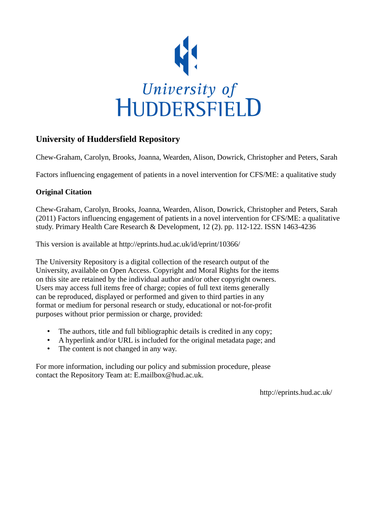

## **University of Huddersfield Repository**

Chew-Graham, Carolyn, Brooks, Joanna, Wearden, Alison, Dowrick, Christopher and Peters, Sarah

Factors influencing engagement of patients in a novel intervention for CFS/ME: a qualitative study

## **Original Citation**

Chew-Graham, Carolyn, Brooks, Joanna, Wearden, Alison, Dowrick, Christopher and Peters, Sarah (2011) Factors influencing engagement of patients in a novel intervention for CFS/ME: a qualitative study. Primary Health Care Research & Development, 12 (2). pp. 112-122. ISSN 1463-4236

This version is available at http://eprints.hud.ac.uk/id/eprint/10366/

The University Repository is a digital collection of the research output of the University, available on Open Access. Copyright and Moral Rights for the items on this site are retained by the individual author and/or other copyright owners. Users may access full items free of charge; copies of full text items generally can be reproduced, displayed or performed and given to third parties in any format or medium for personal research or study, educational or not-for-profit purposes without prior permission or charge, provided:

- The authors, title and full bibliographic details is credited in any copy;
- A hyperlink and/or URL is included for the original metadata page; and
- The content is not changed in any way.

For more information, including our policy and submission procedure, please contact the Repository Team at: E.mailbox@hud.ac.uk.

http://eprints.hud.ac.uk/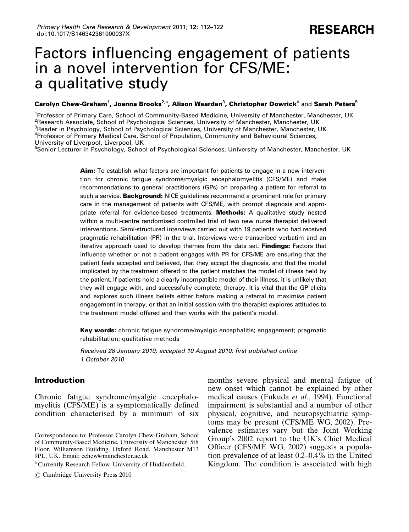# Factors influencing engagement of patients in a novel intervention for CFS/ME: a qualitative study

#### $\bf$  Carolyn Chew-Graham $^1$ , Joanna Brooks $^{2, a}$ , Alison Wearden $^3$ , Christopher Dowrick $^4$  and Sarah Peters $^5$

<sup>1</sup>Professor of Primary Care, School of Community-Based Medicine, University of Manchester, Manchester, UK <sup>2</sup>Research Associate, School of Psychological Sciences, University of Manchester, Manchester, UK <sup>3</sup> Reader in Psychology, School of Psychological Sciences, University of Manchester, Manchester, UK 4 Professor of Primary Medical Care, School of Population, Community and Behavioural Sciences, University of Liverpool, Liverpool, UK

<sup>5</sup>Senior Lecturer in Psychology, School of Psychological Sciences, University of Manchester, Manchester, UK

Aim: To establish what factors are important for patients to engage in a new intervention for chronic fatigue syndrome/myalgic encephalomyelitis (CFS/ME) and make recommendations to general practitioners (GPs) on preparing a patient for referral to such a service. Background: NICE guidelines recommend a prominent role for primary care in the management of patients with CFS/ME, with prompt diagnosis and appropriate referral for evidence-based treatments. **Methods:** A qualitative study nested within a multi-centre randomised controlled trial of two new nurse therapist delivered interventions. Semi-structured interviews carried out with 19 patients who had received pragmatic rehabilitation (PR) in the trial. Interviews were transcribed verbatim and an iterative approach used to develop themes from the data set. Findings: Factors that influence whether or not a patient engages with PR for CFS/ME are ensuring that the patient feels accepted and believed, that they accept the diagnosis, and that the model implicated by the treatment offered to the patient matches the model of illness held by the patient. If patients hold a clearly incompatible model of their illness, it is unlikely that they will engage with, and successfully complete, therapy. It is vital that the GP elicits and explores such illness beliefs either before making a referral to maximise patient engagement in therapy, or that an initial session with the therapist explores attitudes to the treatment model offered and then works with the patient's model.

Key words: chronic fatigue syndrome/myalgic encephalitis; engagement; pragmatic rehabilitation; qualitative methods

*Received 28 January 2010; accepted 10 August 2010; first published online 1 October 2010*

#### Introduction

Chronic fatigue syndrome/myalgic encephalomyelitis (CFS/ME) is a symptomatically defined condition characterised by a minimum of six

months severe physical and mental fatigue of new onset which cannot be explained by other medical causes (Fukuda et al., 1994). Functional impairment is substantial and a number of other physical, cognitive, and neuropsychiatric symptoms may be present (CFS/ME WG, 2002). Prevalence estimates vary but the Joint Working Group's 2002 report to the UK's Chief Medical Officer (CFS/ME WG, 2002) suggests a population prevalence of at least 0.2–0.4% in the United Kingdom. The condition is associated with high

Correspondence to: Professor Carolyn Chew-Graham, School of Community-Based Medicine, University of Manchester, 5th Floor, Williamson Building, Oxford Road, Manchester M13 9PL, UK. Email: cchew@manchester.ac.uk

<sup>a</sup> Currently Research Fellow, University of Huddersfield.

 $\odot$  Cambridge University Press 2010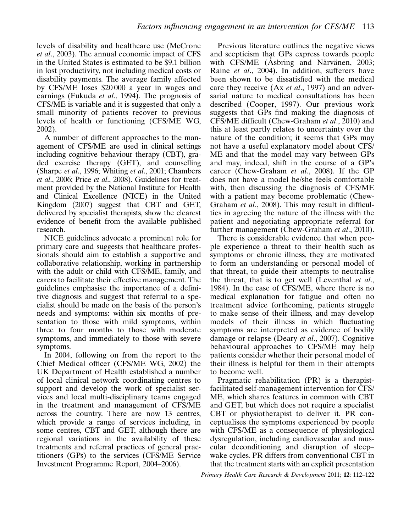levels of disability and healthcare use (McCrone et al., 2003). The annual economic impact of CFS in the United States is estimated to be \$9.1 billion in lost productivity, not including medical costs or disability payments. The average family affected by CFS/ME loses \$20 000 a year in wages and earnings (Fukuda et al., 1994). The prognosis of CFS/ME is variable and it is suggested that only a small minority of patients recover to previous levels of health or functioning (CFS/ME WG, 2002).

A number of different approaches to the management of CFS/ME are used in clinical settings including cognitive behaviour therapy (CBT), graded exercise therapy (GET), and counselling (Sharpe et al., 1996; Whiting et al., 2001; Chambers et al., 2006; Price et al., 2008). Guidelines for treatment provided by the National Institute for Health and Clinical Excellence (NICE) in the United Kingdom (2007) suggest that CBT and GET, delivered by specialist therapists, show the clearest evidence of benefit from the available published research.

NICE guidelines advocate a prominent role for primary care and suggests that healthcare professionals should aim to establish a supportive and collaborative relationship, working in partnership with the adult or child with CFS/ME, family, and carers to facilitate their effective management. The guidelines emphasise the importance of a definitive diagnosis and suggest that referral to a specialist should be made on the basis of the person's needs and symptoms: within six months of presentation to those with mild symptoms, within three to four months to those with moderate symptoms, and immediately to those with severe symptoms.

In 2004, following on from the report to the Chief Medical officer (CFS/ME WG, 2002) the UK Department of Health established a number of local clinical network coordinating centres to support and develop the work of specialist services and local multi-disciplinary teams engaged in the treatment and management of CFS/ME across the country. There are now 13 centres, which provide a range of services including, in some centres, CBT and GET, although there are regional variations in the availability of these treatments and referral practices of general practitioners (GPs) to the services (CFS/ME Service Investment Programme Report, 2004–2006).

Previous literature outlines the negative views and scepticism that GPs express towards people with CFS/ME (Asbring and Närvänen, 2003; Raine et al., 2004). In addition, sufferers have been shown to be dissatisfied with the medical care they receive (Ax *et al.*, 1997) and an adversarial nature to medical consultations has been described (Cooper, 1997). Our previous work suggests that GPs find making the diagnosis of CFS/ME difficult (Chew-Graham et al., 2010) and this at least partly relates to uncertainty over the nature of the condition; it seems that GPs may not have a useful explanatory model about CFS/ ME and that the model may vary between GPs and may, indeed, shift in the course of a GP's career (Chew-Graham et al., 2008). If the GP does not have a model he/she feels comfortable with, then discussing the diagnosis of CFS/ME with a patient may become problematic (Chew-Graham et al., 2008). This may result in difficulties in agreeing the nature of the illness with the patient and negotiating appropriate referral for further management (Chew-Graham et al., 2010).

There is considerable evidence that when people experience a threat to their health such as symptoms or chronic illness, they are motivated to form an understanding or personal model of that threat, to guide their attempts to neutralise the threat, that is to get well (Leventhal *et al.*, 1984). In the case of CFS/ME, where there is no medical explanation for fatigue and often no treatment advice forthcoming, patients struggle to make sense of their illness, and may develop models of their illness in which fluctuating symptoms are interpreted as evidence of bodily damage or relapse (Deary et al., 2007). Cognitive behavioural approaches to CFS/ME may help patients consider whether their personal model of their illness is helpful for them in their attempts to become well.

Pragmatic rehabilitation (PR) is a therapistfacilitated self-management intervention for CFS/ ME, which shares features in common with CBT and GET, but which does not require a specialist CBT or physiotherapist to deliver it. PR conceptualises the symptoms experienced by people with CFS/ME as a consequence of physiological dysregulation, including cardiovascular and muscular deconditioning and disruption of sleep– wake cycles. PR differs from conventional CBT in that the treatment starts with an explicit presentation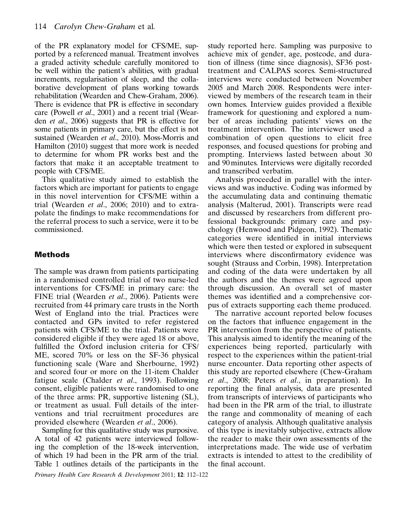of the PR explanatory model for CFS/ME, supported by a referenced manual. Treatment involves a graded activity schedule carefully monitored to be well within the patient's abilities, with gradual increments, regularisation of sleep, and the collaborative development of plans working towards rehabilitation (Wearden and Chew-Graham, 2006). There is evidence that PR is effective in secondary care (Powell et al., 2001) and a recent trial (Wearden et al., 2006) suggests that PR is effective for some patients in primary care, but the effect is not sustained (Wearden et al., 2010). Moss-Morris and Hamilton (2010) suggest that more work is needed to determine for whom PR works best and the factors that make it an acceptable treatment to people with CFS/ME.

This qualitative study aimed to establish the factors which are important for patients to engage in this novel intervention for CFS/ME within a trial (Wearden et al., 2006; 2010) and to extrapolate the findings to make recommendations for the referral process to such a service, were it to be commissioned.

### Methods

The sample was drawn from patients participating in a randomised controlled trial of two nurse-led interventions for CFS/ME in primary care: the FINE trial (Wearden et al., 2006). Patients were recruited from 44 primary care trusts in the North West of England into the trial. Practices were contacted and GPs invited to refer registered patients with CFS/ME to the trial. Patients were considered eligible if they were aged 18 or above, fulfilled the Oxford inclusion criteria for CFS/ ME, scored 70% or less on the SF-36 physical functioning scale (Ware and Sherbourne, 1992) and scored four or more on the 11-item Chalder fatigue scale (Chalder et al., 1993). Following consent, eligible patients were randomised to one of the three arms: PR, supportive listening (SL), or treatment as usual. Full details of the interventions and trial recruitment procedures are provided elsewhere (Wearden et al., 2006).

Sampling for this qualitative study was purposive. A total of 42 patients were interviewed following the completion of the 18-week intervention, of which 19 had been in the PR arm of the trial. Table 1 outlines details of the participants in the

Primary Health Care Research & Development 2011; 12: 112–122

study reported here. Sampling was purposive to achieve mix of gender, age, postcode, and duration of illness (time since diagnosis), SF36 posttreatment and CALPAS scores. Semi-structured interviews were conducted between November 2005 and March 2008. Respondents were interviewed by members of the research team in their own homes. Interview guides provided a flexible framework for questioning and explored a number of areas including patients' views on the treatment intervention. The interviewer used a combination of open questions to elicit free responses, and focused questions for probing and prompting. Interviews lasted between about 30 and 90 minutes. Interviews were digitally recorded and transcribed verbatim.

Analysis proceeded in parallel with the interviews and was inductive. Coding was informed by the accumulating data and continuing thematic analysis (Malterud, 2001). Transcripts were read and discussed by researchers from different professional backgrounds: primary care and psychology (Henwood and Pidgeon, 1992). Thematic categories were identified in initial interviews which were then tested or explored in subsequent interviews where disconfirmatory evidence was sought (Strauss and Corbin, 1998). Interpretation and coding of the data were undertaken by all the authors and the themes were agreed upon through discussion. An overall set of master themes was identified and a comprehensive corpus of extracts supporting each theme produced.

The narrative account reported below focuses on the factors that influence engagement in the PR intervention from the perspective of patients. This analysis aimed to identify the meaning of the experiences being reported, particularly with respect to the experiences within the patient-trial nurse encounter. Data reporting other aspects of this study are reported elsewhere (Chew-Graham et al., 2008; Peters et al., in preparation). In reporting the final analysis, data are presented from transcripts of interviews of participants who had been in the PR arm of the trial, to illustrate the range and commonality of meaning of each category of analysis. Although qualitative analysis of this type is inevitably subjective, extracts allow the reader to make their own assessments of the interpretations made. The wide use of verbatim extracts is intended to attest to the credibility of the final account.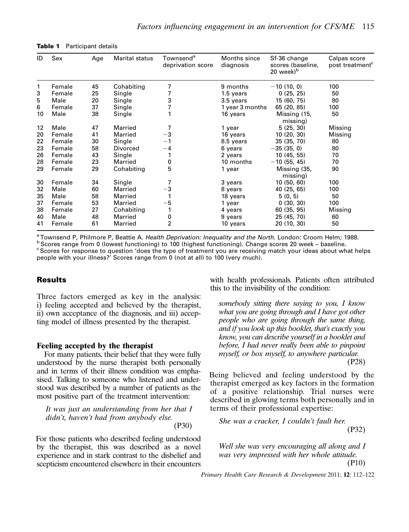| ID                | Sex    | Age | Marital status  | Townsend <sup>a</sup><br>deprivation score | Months since<br>diagnosis | Sf-36 change<br>scores (baseline,<br>20 week <sup>b</sup> | Calpas score<br>post treatment <sup>c</sup> |
|-------------------|--------|-----|-----------------|--------------------------------------------|---------------------------|-----------------------------------------------------------|---------------------------------------------|
| 1                 | Female | 45  | Cohabiting      | 7                                          | 9 months                  | $-10(10, 0)$                                              | 100                                         |
| 3                 | Female | 25  | Single          | 7                                          | 1.5 years                 | 0(25, 25)                                                 | 50                                          |
| 5                 | Male   | 20  | Single          | 3                                          | 3.5 years                 | 15 (60, 75)                                               | 80                                          |
| 6                 | Female | 37  | Single          |                                            | 1 year 3 months           | 65 (20, 85)                                               | 100                                         |
| 10                | Male   | 38  | Single          |                                            | 16 years                  | Missing (15,<br>missing)                                  | 50                                          |
| $12 \overline{ }$ | Male   | 47  | Married         | 7                                          | 1 year                    | 5(25, 30)                                                 | Missing                                     |
| 20                | Female | 41  | Married         | -3                                         | 16 years                  | 10(20, 30)                                                | Missing                                     |
| 22                | Female | 30  | Single          | - 1                                        | 8.5 years                 | 35(35, 70)                                                | 80                                          |
| 23                | Female | 58  | <b>Divorced</b> | $-4$                                       | 6 years                   | $-35(35, 0)$                                              | 80                                          |
| 26                | Female | 43  | Single          |                                            | 2 years                   | 10(45, 55)                                                | 70                                          |
| 28                | Female | 23  | Married         | 0                                          | 10 months                 | $-10(55, 45)$                                             | 70                                          |
| 29                | Female | 29  | Cohabiting      | 5                                          | 1 year                    | Missing (35,<br>missing)                                  | 90                                          |
| 30                | Female | 34  | Single          |                                            | 3 years                   | 10(50, 60)                                                | 100                                         |
| 32                | Male   | 60  | Married         | $-3$                                       | 8 years                   | 40 (25, 65)                                               | 100                                         |
| 35                | Male   | 58  | Married         |                                            | 18 years                  | 5(0, 5)                                                   | 50                                          |
| 37                | Female | 53  | Married         | -5                                         | 1 year                    | 0(30, 30)                                                 | 100                                         |
| 38                | Female | 27  | Cohabiting      |                                            | 4 years                   | 60 (35, 95)                                               | Missing                                     |
| 40                | Male   | 48  | Married         | 0                                          | 9 years                   | 25 (45, 70)                                               | 60                                          |
| 41                | Female | 61  | Married         | $\overline{2}$                             | 10 years                  | 20 (10, 30)                                               | 50                                          |

Table 1 Participant details

<sup>a</sup>Townsend P, Philmore P, Beattie A. *Health Deprivation: Inequality and the North.* London: Croom Helm; 1988. b<br>bScores range from 0 (lowest functioning) to 100 (highest functioning). Change scores 20 week – baseline. <sup>c</sup> Scores for response to question 'does the type of treatment you are receiving match your ideas about what helps people with your illness?' Scores range from 0 (not at all) to 100 (very much).

#### Results

Three factors emerged as key in the analysis: i) feeling accepted and believed by the therapist, ii) own acceptance of the diagnosis, and iii) accepting model of illness presented by the therapist.

#### Feeling accepted by the therapist

For many patients, their belief that they were fully understood by the nurse therapist both personally and in terms of their illness condition was emphasised. Talking to someone who listened and understood was described by a number of patients as the most positive part of the treatment intervention:

It was just an understanding from her that I didn't, haven't had from anybody else.

(P30)

For those patients who described feeling understood by the therapist, this was described as a novel experience and in stark contrast to the disbelief and scepticism encountered elsewhere in their encounters with health professionals. Patients often attributed this to the invisibility of the condition:

somebody sitting there saying to you, I know what you are going through and I have got other people who are going through the same thing, and if you look up this booklet, that's exactly you know, you can describe yourself in a booklet and before, I had never really been able to pinpoint myself, or box myself, to anywhere particular. (P28)

Being believed and feeling understood by the therapist emerged as key factors in the formation of a positive relationship. Trial nurses were described in glowing terms both personally and in terms of their professional expertise:

She was a cracker, I couldn't fault her. (P32)

Well she was very encouraging all along and I was very impressed with her whole attitude. (P10)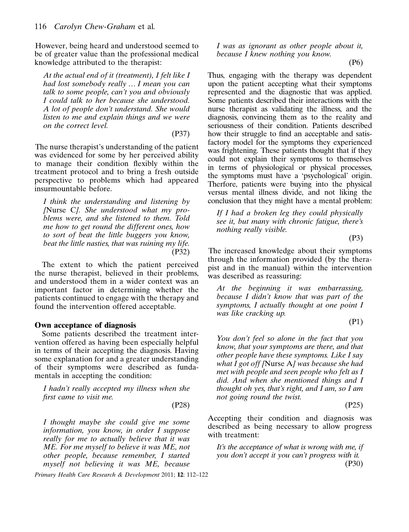However, being heard and understood seemed to be of greater value than the professional medical knowledge attributed to the therapist:

At the actual end of it (treatment), I felt like I had lost somebody really ... I mean you can talk to some people, can't you and obviously I could talk to her because she understood. A lot of people don't understand. She would listen to me and explain things and we were on the correct level.

(P37)

The nurse therapist's understanding of the patient was evidenced for some by her perceived ability to manage their condition flexibly within the treatment protocol and to bring a fresh outside perspective to problems which had appeared insurmountable before.

I think the understanding and listening by [Nurse C]. She understood what my problems were, and she listened to them. Told me how to get round the different ones, how to sort of beat the little buggers you know, beat the little nasties, that was ruining my life. (P32)

The extent to which the patient perceived the nurse therapist, believed in their problems, and understood them in a wider context was an important factor in determining whether the patients continued to engage with the therapy and found the intervention offered acceptable.

#### Own acceptance of diagnosis

Some patients described the treatment intervention offered as having been especially helpful in terms of their accepting the diagnosis. Having some explanation for and a greater understanding of their symptoms were described as fundamentals in accepting the condition:

I hadn't really accepted my illness when she first came to visit me.

(P28)

I thought maybe she could give me some information, you know, in order I suppose really for me to actually believe that it was ME. For me myself to believe it was ME, not other people, because remember, I started myself not believing it was ME, because

Primary Health Care Research & Development 2011; 12: 112–122

I was as ignorant as other people about it, because I knew nothing you know.

(P6)

Thus, engaging with the therapy was dependent upon the patient accepting what their symptoms represented and the diagnostic that was applied. Some patients described their interactions with the nurse therapist as validating the illness, and the diagnosis, convincing them as to the reality and seriousness of their condition. Patients described how their struggle to find an acceptable and satisfactory model for the symptoms they experienced was frightening. These patients thought that if they could not explain their symptoms to themselves in terms of physiological or physical processes, the symptoms must have a 'psychological' origin. Therfore, patients were buying into the physical versus mental illness divide, and not liking the conclusion that they might have a mental problem:

If I had a broken leg they could physically see it, but many with chronic fatigue, there's nothing really visible.

(P3)

The increased knowledge about their symptoms through the information provided (by the therapist and in the manual) within the intervention was described as reassuring:

At the beginning it was embarrassing, because I didn't know that was part of the symptoms, I actually thought at one point I was like cracking up.

(P1)

You don't feel so alone in the fact that you know, that your symptoms are there, and that other people have these symptoms. Like I say what I got off [Nurse A] was because she had met with people and seen people who felt as I did. And when she mentioned things and I thought oh yes, that's right, and I am, so I am not going round the twist.

(P25)

Accepting their condition and diagnosis was described as being necessary to allow progress with treatment:

It's the acceptance of what is wrong with me, if you don't accept it you can't progress with it. (P30)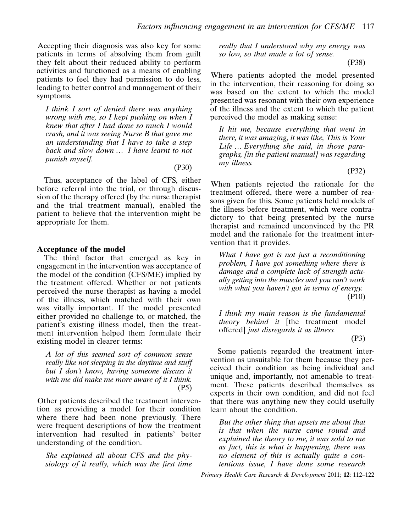Accepting their diagnosis was also key for some patients in terms of absolving them from guilt they felt about their reduced ability to perform activities and functioned as a means of enabling patients to feel they had permission to do less, leading to better control and management of their symptoms.

I think I sort of denied there was anything wrong with me, so I kept pushing on when  $\overline{I}$ knew that after I had done so much I would crash, and it was seeing Nurse B that gave me an understanding that I have to take a step back and slow down  $\ldots$  I have learnt to not punish myself.

(P30)

Thus, acceptance of the label of CFS, either before referral into the trial, or through discussion of the therapy offered (by the nurse therapist and the trial treatment manual), enabled the patient to believe that the intervention might be appropriate for them.

#### Acceptance of the model

The third factor that emerged as key in engagement in the intervention was acceptance of the model of the condition (CFS/ME) implied by the treatment offered. Whether or not patients perceived the nurse therapist as having a model of the illness, which matched with their own was vitally important. If the model presented either provided no challenge to, or matched, the patient's existing illness model, then the treatment intervention helped them formulate their existing model in clearer terms:

A lot of this seemed sort of common sense really like not sleeping in the daytime and stuff but I don't know, having someone discuss it with me did make me more aware of it I think. (P5)

Other patients described the treatment intervention as providing a model for their condition where there had been none previously. There were frequent descriptions of how the treatment intervention had resulted in patients' better understanding of the condition.

She explained all about CFS and the physiology of it really, which was the first time really that I understood why my energy was so low, so that made a lot of sense.

(P38)

Where patients adopted the model presented in the intervention, their reasoning for doing so was based on the extent to which the model presented was resonant with their own experience of the illness and the extent to which the patient perceived the model as making sense:

It hit me, because everything that went in there, it was amazing, it was like, This is Your Life  $\ldots$  Everything she said, in those paragraphs, [in the patient manual] was regarding my illness.

(P32)

When patients rejected the rationale for the treatment offered, there were a number of reasons given for this. Some patients held models of the illness before treatment, which were contradictory to that being presented by the nurse therapist and remained unconvinced by the PR model and the rationale for the treatment intervention that it provides.

What I have got is not just a reconditioning problem, I have got something where there is damage and a complete lack of strength actually getting into the muscles and you can't work with what you haven't got in terms of energy. (P10)

I think my main reason is the fundamental theory behind it [the treatment model offered] just disregards it as illness.

(P3)

Some patients regarded the treatment intervention as unsuitable for them because they perceived their condition as being individual and unique and, importantly, not amenable to treatment. These patients described themselves as experts in their own condition, and did not feel that there was anything new they could usefully learn about the condition.

But the other thing that upsets me about that is that when the nurse came round and explained the theory to me, it was sold to me as fact, this is what is happening, there was no element of this is actually quite a contentious issue, I have done some research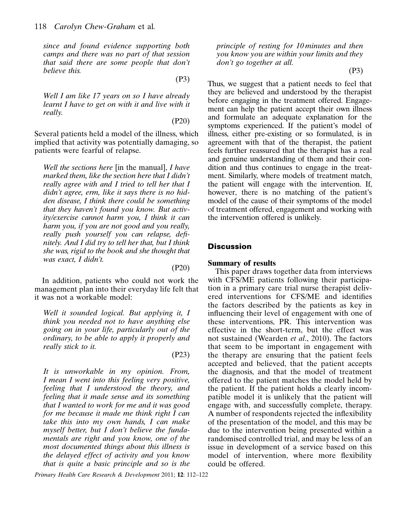since and found evidence supporting both camps and there was no part of that session that said there are some people that don't believe this.

(P3)

Well I am like 17 years on so I have already learnt I have to get on with it and live with it really.

(P20)

Several patients held a model of the illness, which implied that activity was potentially damaging, so patients were fearful of relapse.

Well the sections here [in the manual], I have marked them, like the section here that I didn't really agree with and I tried to tell her that I didn't agree, erm, like it says there is no hidden disease, I think there could be something that they haven't found you know. But activity/exercise cannot harm you, I think it can harm you, if you are not good and you really, really push yourself you can relapse, definitely. And I did try to tell her that, but I think she was, rigid to the book and she thought that was exact, I didn't.

In addition, patients who could not work the management plan into their everyday life felt that it was not a workable model:

Well it sounded logical. But applying it, I think you needed not to have anything else going on in your life, particularly out of the ordinary, to be able to apply it properly and really stick to it.

(P23)

(P20)

It is unworkable in my opinion. From, I mean I went into this feeling very positive, feeling that I understood the theory, and feeling that it made sense and its something that I wanted to work for me and it was good for me because it made me think right I can take this into my own hands, I can make myself better, but I don't believe the fundamentals are right and you know, one of the most documented things about this illness is the delayed effect of activity and you know that is quite a basic principle and so is the

Primary Health Care Research & Development 2011; 12: 112–122

principle of resting for 10 minutes and then you know you are within your limits and they don't go together at all.

(P3)

Thus, we suggest that a patient needs to feel that they are believed and understood by the therapist before engaging in the treatment offered. Engagement can help the patient accept their own illness and formulate an adequate explanation for the symptoms experienced. If the patient's model of illness, either pre-existing or so formulated, is in agreement with that of the therapist, the patient feels further reassured that the therapist has a real and genuine understanding of them and their condition and thus continues to engage in the treatment. Similarly, where models of treatment match, the patient will engage with the intervention. If, however, there is no matching of the patient's model of the cause of their symptoms of the model of treatment offered, engagement and working with the intervention offered is unlikely.

#### **Discussion**

#### Summary of results

This paper draws together data from interviews with CFS/ME patients following their participation in a primary care trial nurse therapist delivered interventions for CFS/ME and identifies the factors described by the patients as key in influencing their level of engagement with one of these interventions, PR. This intervention was effective in the short-term, but the effect was not sustained (Wearden et al., 2010). The factors that seem to be important in engagement with the therapy are ensuring that the patient feels accepted and believed, that the patient accepts the diagnosis, and that the model of treatment offered to the patient matches the model held by the patient. If the patient holds a clearly incompatible model it is unlikely that the patient will engage with, and successfully complete, therapy. A number of respondents rejected the inflexibility of the presentation of the model, and this may be due to the intervention being presented within a randomised controlled trial, and may be less of an issue in development of a service based on this model of intervention, where more flexibility could be offered.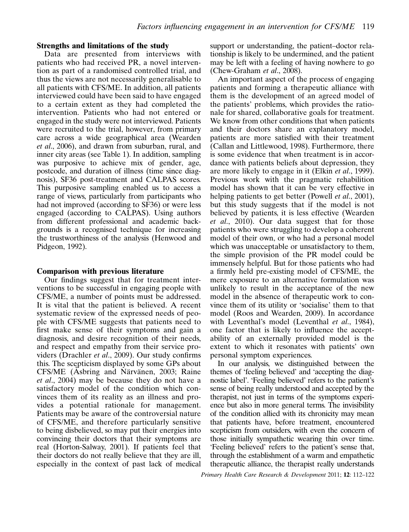#### Strengths and limitations of the study

Data are presented from interviews with patients who had received PR, a novel intervention as part of a randomised controlled trial, and thus the views are not necessarily generalisable to all patients with CFS/ME. In addition, all patients interviewed could have been said to have engaged to a certain extent as they had completed the intervention. Patients who had not entered or engaged in the study were not interviewed. Patients were recruited to the trial, however, from primary care across a wide geographical area (Wearden et al., 2006), and drawn from suburban, rural, and inner city areas (see Table 1). In addition, sampling was purposive to achieve mix of gender, age, postcode, and duration of illness (time since diagnosis), SF36 post-treatment and CALPAS scores. This purposive sampling enabled us to access a range of views, particularly from participants who had not improved (according to SF36) or were less engaged (according to CALPAS). Using authors from different professional and academic backgrounds is a recognised technique for increasing the trustworthiness of the analysis (Henwood and Pidgeon, 1992).

#### Comparison with previous literature

Our findings suggest that for treatment interventions to be successful in engaging people with CFS/ME, a number of points must be addressed. It is vital that the patient is believed. A recent systematic review of the expressed needs of people with CFS/ME suggests that patients need to first make sense of their symptoms and gain a diagnosis, and desire recognition of their needs, and respect and empathy from their service providers (Drachler et al., 2009). Our study confirms this. The scepticism displayed by some GPs about CFS/ME (Asbring and Närvänen, 2003; Raine et al., 2004) may be because they do not have a satisfactory model of the condition which convinces them of its reality as an illness and provides a potential rationale for management. Patients may be aware of the controversial nature of CFS/ME, and therefore particularly sensitive to being disbelieved, so may put their energies into convincing their doctors that their symptoms are real (Horton-Salway, 2001). If patients feel that their doctors do not really believe that they are ill, especially in the context of past lack of medical support or understanding, the patient–doctor relationship is likely to be undermined, and the patient may be left with a feeling of having nowhere to go (Chew-Graham et al., 2008).

An important aspect of the process of engaging patients and forming a therapeutic alliance with them is the development of an agreed model of the patients' problems, which provides the rationale for shared, collaborative goals for treatment. We know from other conditions that when patients and their doctors share an explanatory model, patients are more satisfied with their treatment (Callan and Littlewood, 1998). Furthermore, there is some evidence that when treatment is in accordance with patients beliefs about depression, they are more likely to engage in it (Elkin et al., 1999). Previous work with the pragmatic rehabilition model has shown that it can be very effective in helping patients to get better (Powell *et al.*, 2001), but this study suggests that if the model is not believed by patients, it is less effective (Wearden et al., 2010). Our data suggest that for those patients who were struggling to develop a coherent model of their own, or who had a personal model which was unacceptable or unsatisfactory to them, the simple provision of the PR model could be immensely helpful. But for those patients who had a firmly held pre-existing model of CFS/ME, the mere exposure to an alternative formulation was unlikely to result in the acceptance of the new model in the absence of therapeutic work to convince them of its utility or 'socialise' them to that model (Roos and Wearden, 2009). In accordance with Leventhal's model (Leventhal et al., 1984), one factor that is likely to influence the acceptability of an externally provided model is the extent to which it resonates with patients' own personal symptom experiences.

In our analysis, we distinguished between the themes of 'feeling believed' and 'accepting the diagnostic label'. 'Feeling believed' refers to the patient's sense of being really understood and accepted by the therapist, not just in terms of the symptoms experience but also in more general terms. The invisibility of the condition allied with its chronicity may mean that patients have, before treatment, encountered scepticism from outsiders, with even the concern of those initially sympathetic wearing thin over time. 'Feeling believed' refers to the patient's sense that, through the establishment of a warm and empathetic therapeutic alliance, the therapist really understands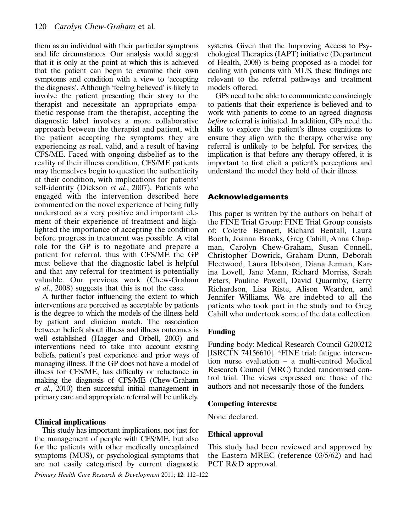them as an individual with their particular symptoms and life circumstances. Our analysis would suggest that it is only at the point at which this is achieved that the patient can begin to examine their own symptoms and condition with a view to 'accepting the diagnosis'. Although 'feeling believed' is likely to involve the patient presenting their story to the therapist and necessitate an appropriate empathetic response from the therapist, accepting the diagnostic label involves a more collaborative approach between the therapist and patient, with the patient accepting the symptoms they are experiencing as real, valid, and a result of having CFS/ME. Faced with ongoing disbelief as to the reality of their illness condition, CFS/ME patients may themselves begin to question the authenticity of their condition, with implications for patients' self-identity (Dickson et al., 2007). Patients who engaged with the intervention described here commented on the novel experience of being fully understood as a very positive and important element of their experience of treatment and highlighted the importance of accepting the condition before progress in treatment was possible. A vital role for the GP is to negotiate and prepare a patient for referral, thus with CFS/ME the GP must believe that the diagnostic label is helpful and that any referral for treatment is potentially valuable. Our previous work (Chew-Graham et al., 2008) suggests that this is not the case.

A further factor influencing the extent to which interventions are perceived as acceptable by patients is the degree to which the models of the illness held by patient and clinician match. The association between beliefs about illness and illness outcomes is well established (Hagger and Orbell, 2003) and interventions need to take into account existing beliefs, patient's past experience and prior ways of managing illness. If the GP does not have a model of illness for CFS/ME, has difficulty or reluctance in making the diagnosis of CFS/ME (Chew-Graham et al., 2010) then successful initial management in primary care and appropriate referral will be unlikely.

#### Clinical implications

This study has important implications, not just for the management of people with CFS/ME, but also for the patients with other medically unexplained symptoms (MUS), or psychological symptoms that are not easily categorised by current diagnostic

Primary Health Care Research & Development 2011; 12: 112–122

systems. Given that the Improving Access to Psychological Therapies (IAPT) initiative (Department of Health, 2008) is being proposed as a model for dealing with patients with MUS, these findings are relevant to the referral pathways and treatment models offered.

GPs need to be able to communicate convincingly to patients that their experience is believed and to work with patients to come to an agreed diagnosis before referral is initiated. In addition, GPs need the skills to explore the patient's illness cognitions to ensure they align with the therapy, otherwise any referral is unlikely to be helpful. For services, the implication is that before any therapy offered, it is important to first elicit a patient's perceptions and understand the model they hold of their illness.

#### Acknowledgements

This paper is written by the authors on behalf of the FINE Trial Group: FINE Trial Group consists of: Colette Bennett, Richard Bentall, Laura Booth, Joanna Brooks, Greg Cahill, Anna Chapman, Carolyn Chew-Graham, Susan Connell, Christopher Dowrick, Graham Dunn, Deborah Fleetwood, Laura Ibbotson, Diana Jerman, Karina Lovell, Jane Mann, Richard Morriss, Sarah Peters, Pauline Powell, David Quarmby, Gerry Richardson, Lisa Riste, Alison Wearden, and Jennifer Williams. We are indebted to all the patients who took part in the study and to Greg Cahill who undertook some of the data collection.

#### Funding

Funding body: Medical Research Council G200212 [ISRCTN 74156610]. \*FINE trial: fatigue intervention nurse evaluation – a multi-centred Medical Research Council (MRC) funded randomised control trial. The views expressed are those of the authors and not necessarily those of the funders.

#### Competing interests:

None declared.

#### Ethical approval

This study had been reviewed and approved by the Eastern MREC (reference 03/5/62) and had PCT R&D approval.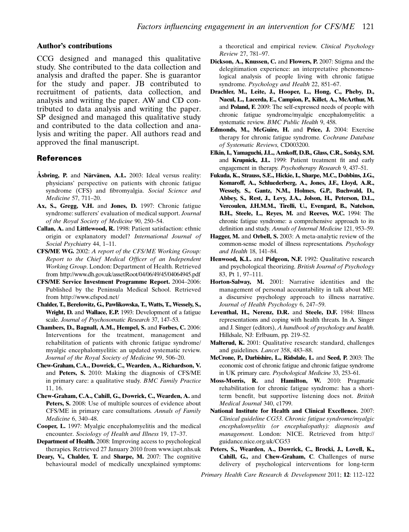#### Author's contributions

CCG designed and managed this qualitative study. She contributed to the data collection and analysis and drafted the paper. She is guarantor for the study and paper. JB contributed to recruitment of patients, data collection, and analysis and writing the paper. AW and CD contributed to data analysis and writing the paper. SP designed and managed this qualitative study and contributed to the data collection and analysis and writing the paper. All authors read and approved the final manuscript.

#### References

- Asbring, P. and Närvänen, A.L. 2003: Ideal versus reality: physicians' perspective on patients with chronic fatigue syndrome (CFS) and fibromyalgia. Social Science and Medicine 57, 711–20.
- Ax, S., Gregg, V.H. and Jones, D. 1997: Chronic fatigue syndrome: sufferers' evaluation of medical support. Journal of the Royal Society of Medicine 90, 250–54.
- Callan, A. and Littlewood, R. 1998: Patient satisfaction: ethnic origin or explanatory model? International Journal of Social Psychiatry 44, 1–11.
- CFS/ME WG. 2002: A report of the CFS/ME Working Group: Report to the Chief Medical Officer of an Independent Working Group. London: Department of Health. Retrieved from http://www.dh.gov.uk/assetRoot/04/06/49/45/04064945.pdf
- CFS/ME Service Investment Programme Report. 2004–2006: Published by the Peninsula Medical School. Retrieved from http://www.cfspod.net/
- Chalder, T., Berelowitz, G., Pawlikowska, T., Watts, T., Wessely, S., Wright, D. and Wallace, E.P. 1993: Development of a fatigue scale. Journal of Psychosomatic Research 37, 147–53.
- Chambers, D., Bagnall, A.M., Hempel, S. and Forbes, C. 2006: Interventions for the treatment, management and rehabilitation of patients with chronic fatigue syndrome/ myalgic encephalomyelitis: an updated systematic review. Journal of the Royal Society of Medicine 99, 506–20.
- Chew-Graham, C.A., Dowrick, C., Wearden, A., Richardson, V. and Peters, S. 2010: Making the diagnosis of CFS/ME in primary care: a qualitative study. BMC Family Practice 11, 16.
- Chew-Graham, C.A., Cahill, G., Dowrick, C., Wearden, A. and Peters, S. 2008: Use of multiple sources of evidence about CFS/ME in primary care consultations. Annals of Family Medicine 6, 340–48.
- Cooper, L. 1997: Myalgic encephalomyelitis and the medical encounter. Sociology of Health and Illness 19, 17–37.
- Department of Health. 2008: Improving access to psychological therapies. Retrieved 27 January 2010 from www.iapt.nhs.uk
- Deary, V., Chalder, T. and Sharpe, M. 2007: The cognitive behavioural model of medically unexplained symptoms:

a theoretical and empirical review. Clinical Psychology Review 27, 781–97.

- Dickson, A., Knussen, C. and Flowers, P. 2007: Stigma and the delegitimation experience: an interpretative phenomenological analysis of people living with chronic fatigue syndrome. Psychology and Health 22, 851–67.
- Drachler, M., Leite, J., Hooper, L., Hong, C., Pheby, D., Nacul, L., Lacerda, E., Campion, P., Killet, A., McArthur, M. and Poland, F. 2009: The self-expressed needs of people with chronic fatigue syndrome/myalgic encephalomyelitis: a systematic review. BMC Public Health 9, 458.
- Edmonds, M., McGuire, H. and Price, J. 2004: Exercise therapy for chronic fatigue syndrome. Cochrane Database of Systematic Reviews, CD003200.
- Elkin, I., Yamaguchi, J.L., Arnkoff, D.B., Glass, C.R., Sotsky, S.M. and Krupnick, J.L. 1999: Patient treatment fit and early engagement in therapy. Psychotherapy Research 9, 437–51.
- Fukuda, K., Strauss, S.E., Hickie, I., Sharpe, M.C., Dobbins, J.G., Komaroff, A., Schluederberg, A., Jones, J.F., Lloyd, A.R., Wessely, S., Gantz, N.M., Holmes, G.P., Buchwald, D., Abbey, S., Rest, J., Levy, J.A., Jolson, H., Peterson, D.L., Vercoulen, J.H.M.M., Tirelli, U., Evengard, B., Natelson, B.H., Steele, L., Reyes, M. and Reeves, W.C. 1994: The chronic fatigue syndrome: a comprehensive approach to its definition and study. Annals of Internal Medicine 121, 953–59.
- Hagger, M. and Orbell, S. 2003: A meta-analytic review of the common-sense model of illness representations. Psychology and Health 18, 141–84.
- Henwood, K.L. and Pidgeon, N.F. 1992: Qualitative research and psychological theorizing. British Journal of Psychology 83, Pt 1, 97–111.
- Horton-Salway, M. 2001: Narrative identities and the management of personal accountability in talk about ME: a discursive psychology approach to illness narrative. Journal of Health Psychology 6, 247–59.
- Leventhal, H., Nerenz, D.R. and Steele, D.F. 1984: Illness representations and coping with health threats. In A. Singer and J. Singer (editors), A handbook of psychology and health. Hilldsale, NJ: Erlbaum, pp. 219–52.
- Malterud, K. 2001: Qualitative research: standard, challenges and guidelines. Lancet 358, 483–88.
- McCrone, P., Darbishire, L., Ridsdale, L. and Seed, P. 2003: The economic cost of chronic fatigue and chronic fatigue syndrome in UK primary care. Psychological Medicine 33, 253–61.
- Moss-Morris, R. and Hamilton, W. 2010: Pragmatic rehabilitation for chronic fatigue syndrome: has a shortterm benefit, but supportive listening does not. British Medical Journal 340, c1799.
- National Institute for Health and Clinical Excellence. 2007: Clinical guideline CG53. Chronic fatigue syndrome/myalgic encephalomyelitis (or encephalopathy): diagnosis and management. London: NICE. Retrieved from http:// guidance.nice.org.uk/CG53
- Peters, S., Wearden, A., Dowrick, C., Brocki, J., Lovell, K., Cahill, G., and Chew-Graham, C. Challenges of nurse delivery of psychological interventions for long-term